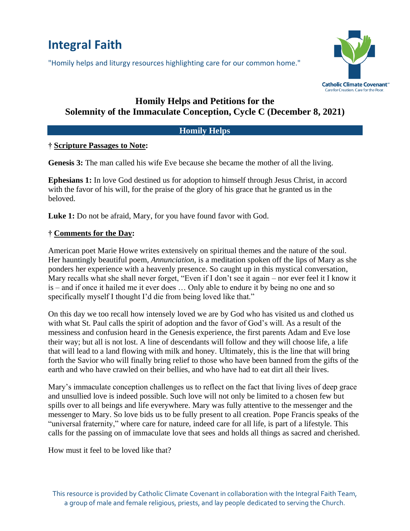# **Integral Faith**

"Homily helps and liturgy resources highlighting care for our common home."



# **Homily Helps and Petitions for the Solemnity of the Immaculate Conception, Cycle C (December 8, 2021)**

## **Homily Helps**

#### **† Scripture Passages to Note:**

**Genesis 3:** The man called his wife Eve because she became the mother of all the living.

**Ephesians 1:** In love God destined us for adoption to himself through Jesus Christ, in accord with the favor of his will, for the praise of the glory of his grace that he granted us in the beloved.

Luke 1: Do not be afraid, Mary, for you have found favor with God.

#### **† Comments for the Day:**

American poet Marie Howe writes extensively on spiritual themes and the nature of the soul. Her hauntingly beautiful poem, *Annunciation*, is a meditation spoken off the lips of Mary as she ponders her experience with a heavenly presence. So caught up in this mystical conversation, Mary recalls what she shall never forget, "Even if I don't see it again – nor ever feel it I know it is – and if once it hailed me it ever does … Only able to endure it by being no one and so specifically myself I thought I'd die from being loved like that."

On this day we too recall how intensely loved we are by God who has visited us and clothed us with what St. Paul calls the spirit of adoption and the favor of God's will. As a result of the messiness and confusion heard in the Genesis experience, the first parents Adam and Eve lose their way; but all is not lost. A line of descendants will follow and they will choose life, a life that will lead to a land flowing with milk and honey. Ultimately, this is the line that will bring forth the Savior who will finally bring relief to those who have been banned from the gifts of the earth and who have crawled on their bellies, and who have had to eat dirt all their lives.

Mary's immaculate conception challenges us to reflect on the fact that living lives of deep grace and unsullied love is indeed possible. Such love will not only be limited to a chosen few but spills over to all beings and life everywhere. Mary was fully attentive to the messenger and the messenger to Mary. So love bids us to be fully present to all creation. Pope Francis speaks of the "universal fraternity," where care for nature, indeed care for all life, is part of a lifestyle. This calls for the passing on of immaculate love that sees and holds all things as sacred and cherished.

How must it feel to be loved like that?